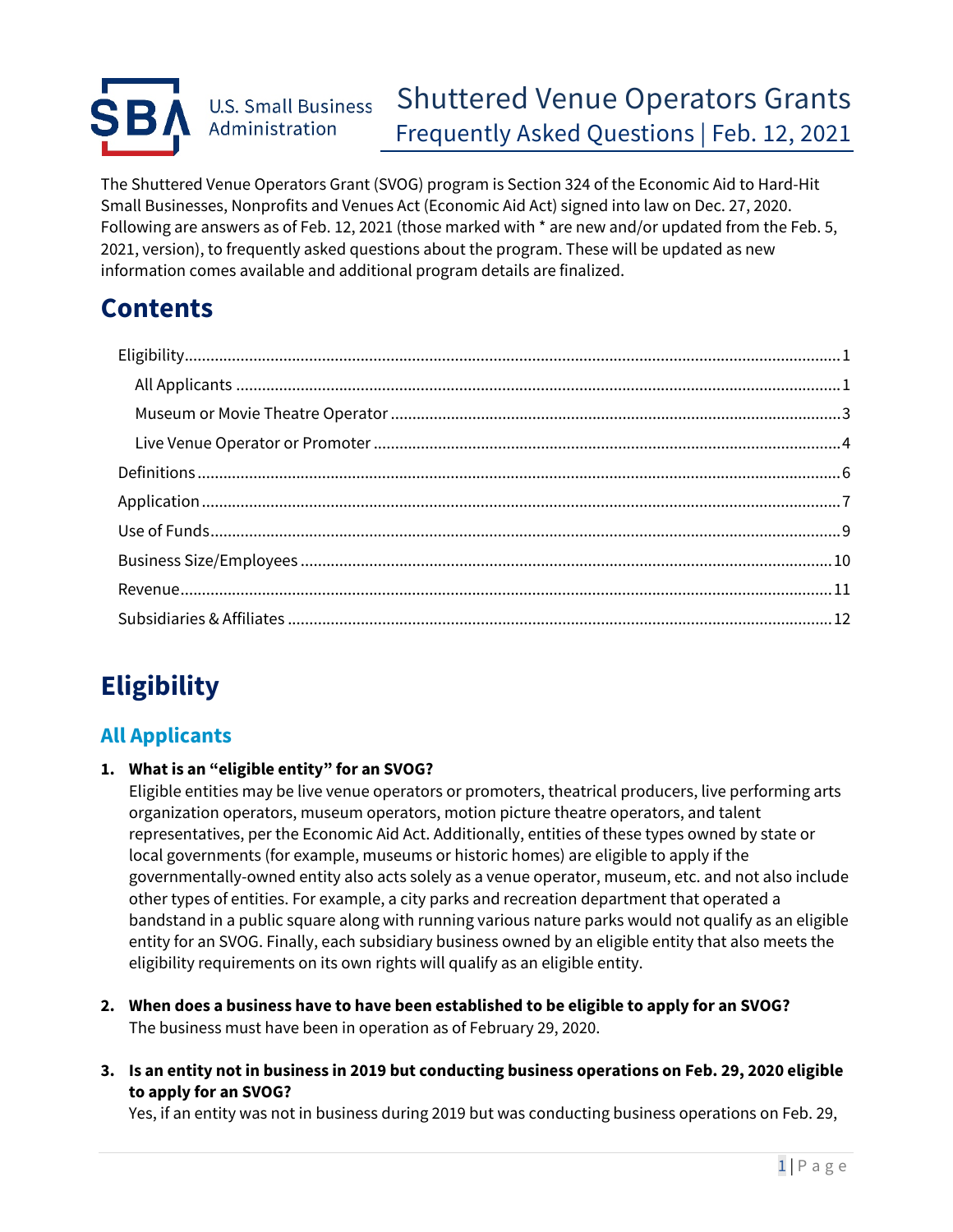#### Shuttered Venue Operators Grants **U.S. Small Business** Administration Frequently Asked Questions | Feb. 12, 2021

The Shuttered Venue Operators Grant (SVOG) program is Section 324 of the Economic Aid to Hard-Hit Small Businesses, Nonprofits and Venues Act (Economic Aid Act) signed into law on Dec. 27, 2020. Following are answers as of Feb. 12, 2021 (those marked with \* are new and/or updated from the Feb. 5, 2021, version), to frequently asked questions about the program. These will be updated as new information comes available and additional program details are finalized.

# **Contents**

# <span id="page-0-0"></span>**Eligibility**

### <span id="page-0-1"></span>**All Applicants**

**1. What is an "eligible entity" for an SVOG?** 

Eligible entities may be live venue operators or promoters, theatrical producers, live performing arts organization operators, museum operators, motion picture theatre operators, and talent representatives, per the Economic Aid Act. Additionally, entities of these types owned by state or local governments (for example, museums or historic homes) are eligible to apply if the governmentally-owned entity also acts solely as a venue operator, museum, etc. and not also include other types of entities. For example, a city parks and recreation department that operated a bandstand in a public square along with running various nature parks would not qualify as an eligible entity for an SVOG. Finally, each subsidiary business owned by an eligible entity that also meets the eligibility requirements on its own rights will qualify as an eligible entity.

- **2. When does a business have to have been established to be eligible to apply for an SVOG?**  The business must have been in operation as of February 29, 2020.
- **3. Is an entity not in business in 2019 but conducting business operations on Feb. 29, 2020 eligible to apply for an SVOG?**

Yes, if an entity was not in business during 2019 but was conducting business operations on Feb. 29,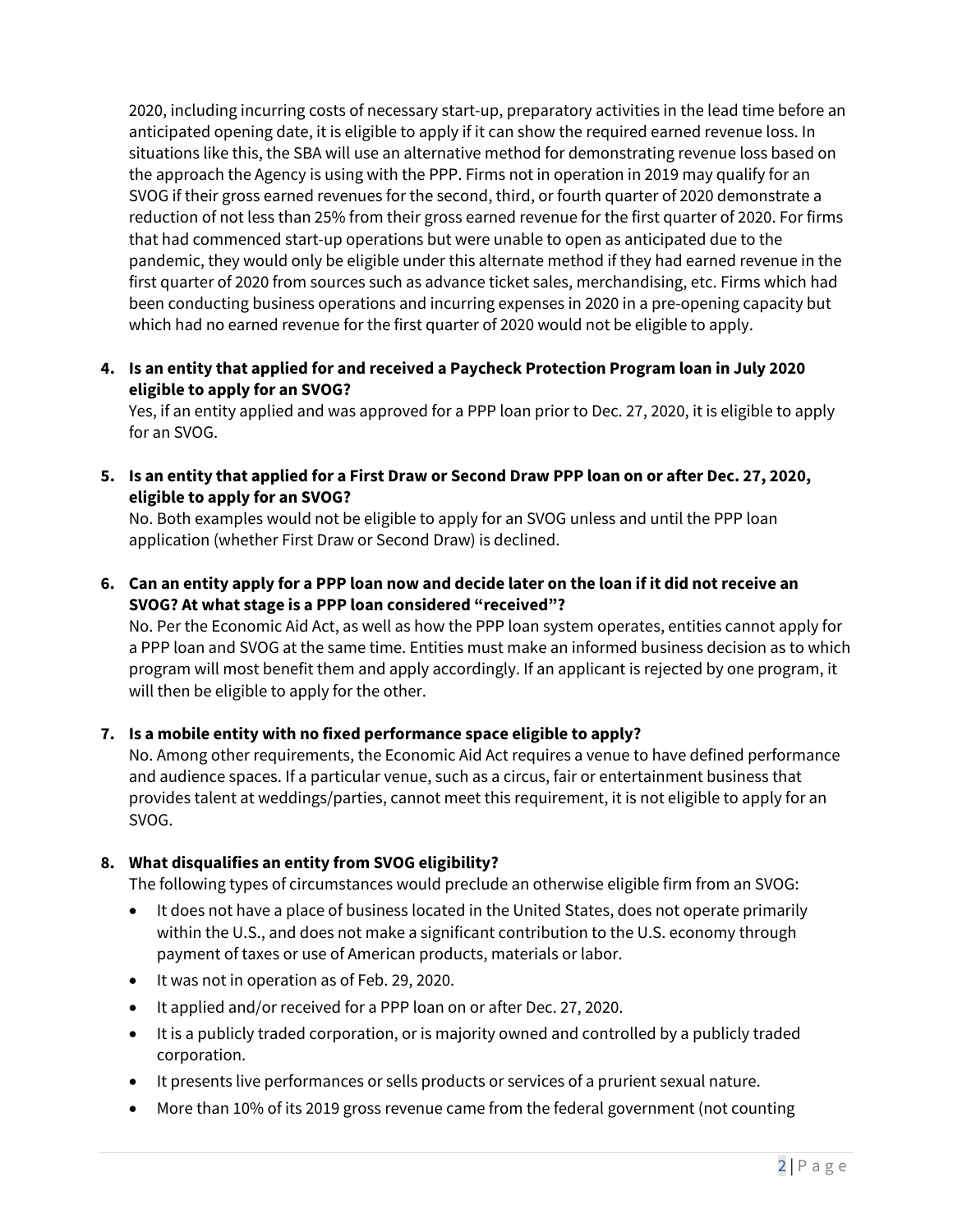2020, including incurring costs of necessary start-up, preparatory activities in the lead time before an anticipated opening date, it is eligible to apply if it can show the required earned revenue loss. In situations like this, the SBA will use an alternative method for demonstrating revenue loss based on the approach the Agency is using with the PPP. Firms not in operation in 2019 may qualify for an SVOG if their gross earned revenues for the second, third, or fourth quarter of 2020 demonstrate a reduction of not less than 25% from their gross earned revenue for the first quarter of 2020. For firms that had commenced start-up operations but were unable to open as anticipated due to the pandemic, they would only be eligible under this alternate method if they had earned revenue in the first quarter of 2020 from sources such as advance ticket sales, merchandising, etc. Firms which had been conducting business operations and incurring expenses in 2020 in a pre-opening capacity but which had no earned revenue for the first quarter of 2020 would not be eligible to apply.

**4. Is an entity that applied for and received a Paycheck Protection Program loan in July 2020 eligible to apply for an SVOG?** 

Yes, if an entity applied and was approved for a PPP loan prior to Dec. 27, 2020, it is eligible to apply for an SVOG.

**5. Is an entity that applied for a First Draw or Second Draw PPP loan on or after Dec. 27, 2020, eligible to apply for an SVOG?** 

No. Both examples would not be eligible to apply for an SVOG unless and until the PPP loan application (whether First Draw or Second Draw) is declined.

**6. Can an entity apply for a PPP loan now and decide later on the loan if it did not receive an SVOG? At what stage is a PPP loan considered "received"?** 

No. Per the Economic Aid Act, as well as how the PPP loan system operates, entities cannot apply for a PPP loan and SVOG at the same time. Entities must make an informed business decision as to which program will most benefit them and apply accordingly. If an applicant is rejected by one program, it will then be eligible to apply for the other.

### **7. Is a mobile entity with no fixed performance space eligible to apply?**

No. Among other requirements, the Economic Aid Act requires a venue to have defined performance and audience spaces. If a particular venue, such as a circus, fair or entertainment business that provides talent at weddings/parties, cannot meet this requirement, it is not eligible to apply for an SVOG.

### **8. What disqualifies an entity from SVOG eligibility?**

The following types of circumstances would preclude an otherwise eligible firm from an SVOG:

- It does not have a place of business located in the United States, does not operate primarily within the U.S., and does not make a significant contribution to the U.S. economy through payment of taxes or use of American products, materials or labor.
- It was not in operation as of Feb. 29, 2020.
- It applied and/or received for a PPP loan on or after Dec. 27, 2020.
- It is a publicly traded corporation, or is majority owned and controlled by a publicly traded corporation.
- It presents live performances or sells products or services of a prurient sexual nature.
- More than 10% of its 2019 gross revenue came from the federal government (not counting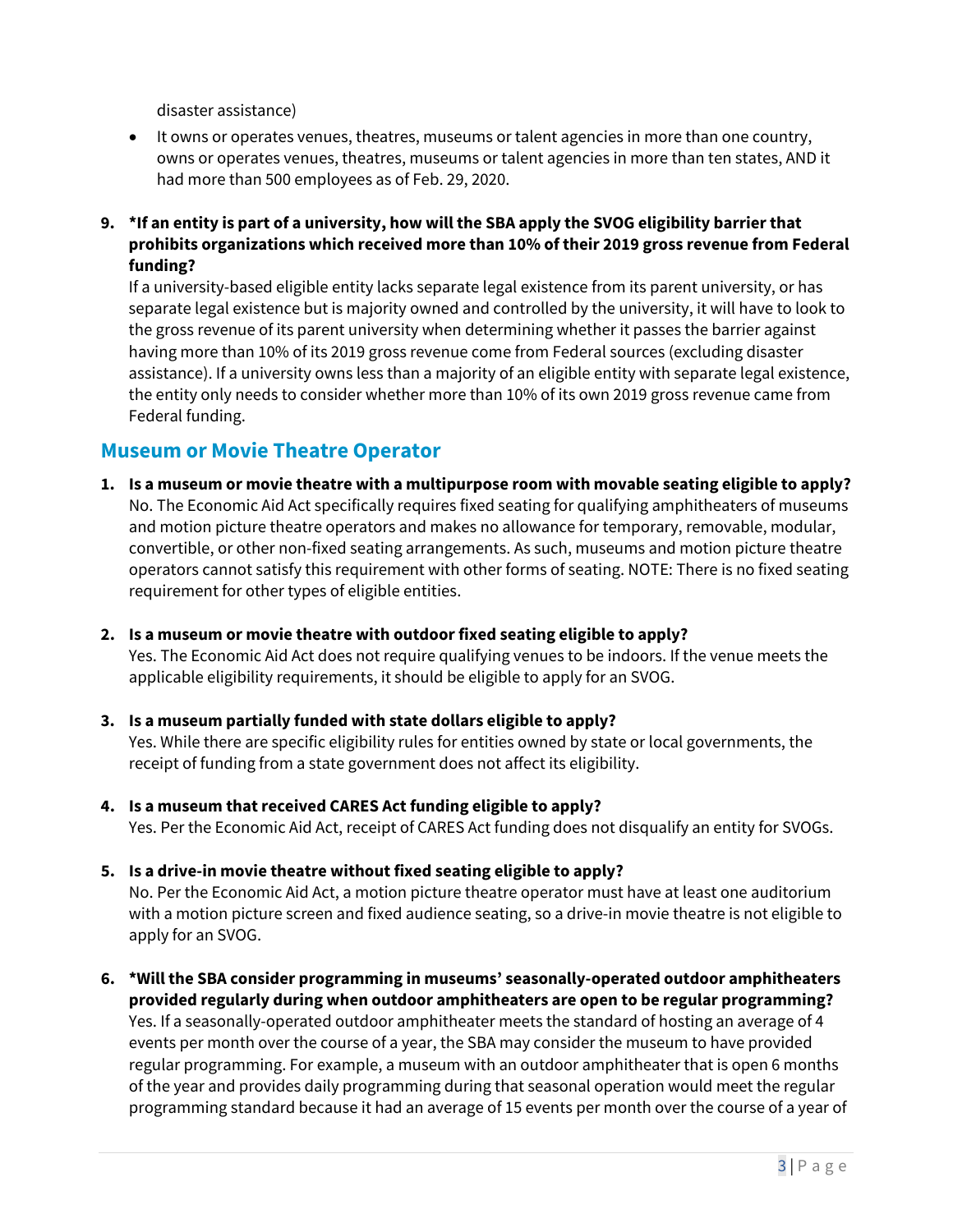disaster assistance)

- It owns or operates venues, theatres, museums or talent agencies in more than one country, owns or operates venues, theatres, museums or talent agencies in more than ten states, AND it had more than 500 employees as of Feb. 29, 2020.
- **9. \*If an entity is part of a university, how will the SBA apply the SVOG eligibility barrier that prohibits organizations which received more than 10% of their 2019 gross revenue from Federal funding?**

If a university-based eligible entity lacks separate legal existence from its parent university, or has separate legal existence but is majority owned and controlled by the university, it will have to look to the gross revenue of its parent university when determining whether it passes the barrier against having more than 10% of its 2019 gross revenue come from Federal sources (excluding disaster assistance). If a university owns less than a majority of an eligible entity with separate legal existence, the entity only needs to consider whether more than 10% of its own 2019 gross revenue came from Federal funding.

### <span id="page-2-0"></span>**Museum or Movie Theatre Operator**

apply for an SVOG.

- **1. Is a museum or movie theatre with a multipurpose room with movable seating eligible to apply?**  No. The Economic Aid Act specifically requires fixed seating for qualifying amphitheaters of museums and motion picture theatre operators and makes no allowance for temporary, removable, modular, convertible, or other non-fixed seating arrangements. As such, museums and motion picture theatre operators cannot satisfy this requirement with other forms of seating. NOTE: There is no fixed seating requirement for other types of eligible entities.
- **2. Is a museum or movie theatre with outdoor fixed seating eligible to apply?**

Yes. The Economic Aid Act does not require qualifying venues to be indoors. If the venue meets the applicable eligibility requirements, it should be eligible to apply for an SVOG.

- **3. Is a museum partially funded with state dollars eligible to apply?**  Yes. While there are specific eligibility rules for entities owned by state or local governments, the receipt of funding from a state government does not affect its eligibility.
- **4. Is a museum that received CARES Act funding eligible to apply?**  Yes. Per the Economic Aid Act, receipt of CARES Act funding does not disqualify an entity for SVOGs.
- **5. Is a drive-in movie theatre without fixed seating eligible to apply?**  No. Per the Economic Aid Act, a motion picture theatre operator must have at least one auditorium with a motion picture screen and fixed audience seating, so a drive-in movie theatre is not eligible to
- **6. \*Will the SBA consider programming in museums' seasonally-operated outdoor amphitheaters provided regularly during when outdoor amphitheaters are open to be regular programming?** Yes. If a seasonally-operated outdoor amphitheater meets the standard of hosting an average of 4 events per month over the course of a year, the SBA may consider the museum to have provided regular programming. For example, a museum with an outdoor amphitheater that is open 6 months of the year and provides daily programming during that seasonal operation would meet the regular programming standard because it had an average of 15 events per month over the course of a year of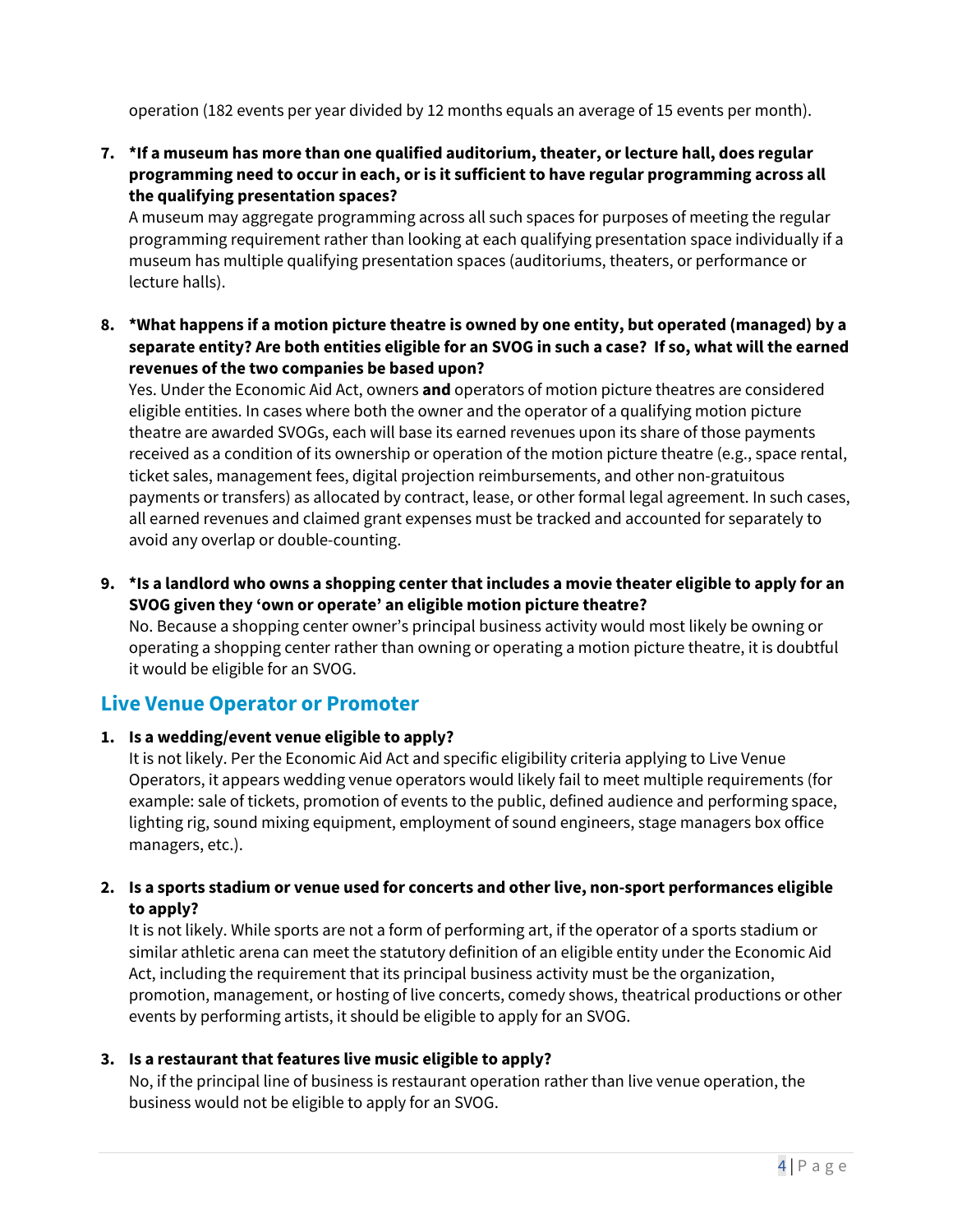operation (182 events per year divided by 12 months equals an average of 15 events per month).

**7. \*If a museum has more than one qualified auditorium, theater, or lecture hall, does regular programming need to occur in each, or is it sufficient to have regular programming across all the qualifying presentation spaces?** 

A museum may aggregate programming across all such spaces for purposes of meeting the regular programming requirement rather than looking at each qualifying presentation space individually if a museum has multiple qualifying presentation spaces (auditoriums, theaters, or performance or lecture halls).

**8. \*What happens if a motion picture theatre is owned by one entity, but operated (managed) by a separate entity? Are both entities eligible for an SVOG in such a case? If so, what will the earned revenues of the two companies be based upon?** 

Yes. Under the Economic Aid Act, owners **and** operators of motion picture theatres are considered eligible entities. In cases where both the owner and the operator of a qualifying motion picture theatre are awarded SVOGs, each will base its earned revenues upon its share of those payments received as a condition of its ownership or operation of the motion picture theatre (e.g., space rental, ticket sales, management fees, digital projection reimbursements, and other non-gratuitous payments or transfers) as allocated by contract, lease, or other formal legal agreement. In such cases, all earned revenues and claimed grant expenses must be tracked and accounted for separately to avoid any overlap or double-counting.

**9. \*Is a landlord who owns a shopping center that includes a movie theater eligible to apply for an SVOG given they 'own or operate' an eligible motion picture theatre?** 

No. Because a shopping center owner's principal business activity would most likely be owning or operating a shopping center rather than owning or operating a motion picture theatre, it is doubtful it would be eligible for an SVOG.

### <span id="page-3-0"></span>**Live Venue Operator or Promoter**

### **1. Is a wedding/event venue eligible to apply?**

It is not likely. Per the Economic Aid Act and specific eligibility criteria applying to Live Venue Operators, it appears wedding venue operators would likely fail to meet multiple requirements (for example: sale of tickets, promotion of events to the public, defined audience and performing space, lighting rig, sound mixing equipment, employment of sound engineers, stage managers box office managers, etc.).

### **2. Is a sports stadium or venue used for concerts and other live, non-sport performances eligible to apply?**

It is not likely. While sports are not a form of performing art, if the operator of a sports stadium or similar athletic arena can meet the statutory definition of an eligible entity under the Economic Aid Act, including the requirement that its principal business activity must be the organization, promotion, management, or hosting of live concerts, comedy shows, theatrical productions or other events by performing artists, it should be eligible to apply for an SVOG.

### **3. Is a restaurant that features live music eligible to apply?**

No, if the principal line of business is restaurant operation rather than live venue operation, the business would not be eligible to apply for an SVOG.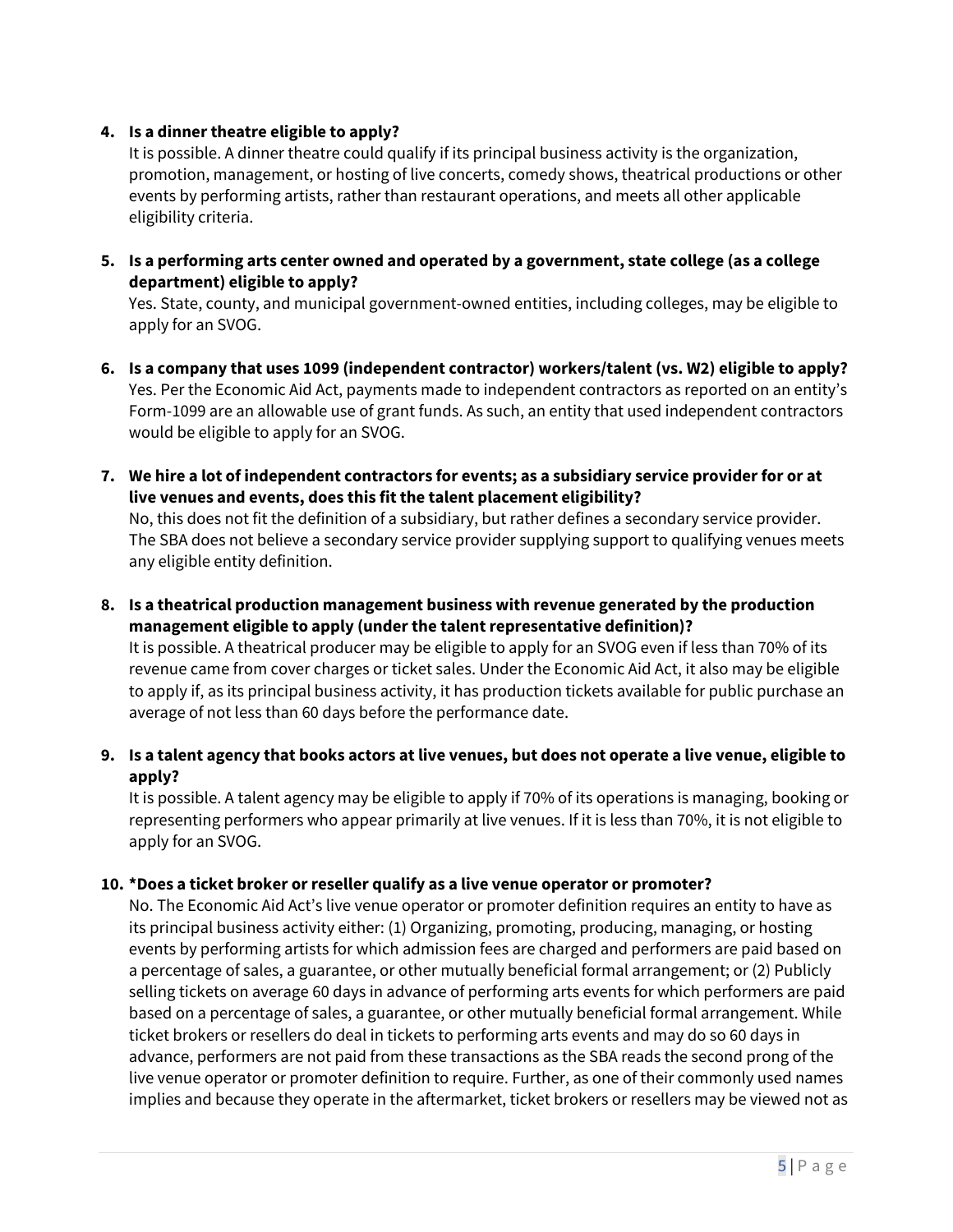### **4. Is a dinner theatre eligible to apply?**

It is possible. A dinner theatre could qualify if its principal business activity is the organization, promotion, management, or hosting of live concerts, comedy shows, theatrical productions or other events by performing artists, rather than restaurant operations, and meets all other applicable eligibility criteria.

**5. Is a performing arts center owned and operated by a government, state college (as a college department) eligible to apply?** 

Yes. State, county, and municipal government-owned entities, including colleges, may be eligible to apply for an SVOG.

- **6. Is a company that uses 1099 (independent contractor) workers/talent (vs. W2) eligible to apply?**  Yes. Per the Economic Aid Act, payments made to independent contractors as reported on an entity's Form-1099 are an allowable use of grant funds. As such, an entity that used independent contractors would be eligible to apply for an SVOG.
- **7. We hire a lot of independent contractors for events; as a subsidiary service provider for or at live venues and events, does this fit the talent placement eligibility?**

No, this does not fit the definition of a subsidiary, but rather defines a secondary service provider. The SBA does not believe a secondary service provider supplying support to qualifying venues meets any eligible entity definition.

**8. Is a theatrical production management business with revenue generated by the production management eligible to apply (under the talent representative definition)?** 

It is possible. A theatrical producer may be eligible to apply for an SVOG even if less than 70% of its revenue came from cover charges or ticket sales. Under the Economic Aid Act, it also may be eligible to apply if, as its principal business activity, it has production tickets available for public purchase an average of not less than 60 days before the performance date.

**9. Is a talent agency that books actors at live venues, but does not operate a live venue, eligible to apply?** 

It is possible. A talent agency may be eligible to apply if 70% of its operations is managing, booking or representing performers who appear primarily at live venues. If it is less than 70%, it is not eligible to apply for an SVOG.

### **10. \*Does a ticket broker or reseller qualify as a live venue operator or promoter?**

No. The Economic Aid Act's live venue operator or promoter definition requires an entity to have as its principal business activity either: (1) Organizing, promoting, producing, managing, or hosting events by performing artists for which admission fees are charged and performers are paid based on a percentage of sales, a guarantee, or other mutually beneficial formal arrangement; or (2) Publicly selling tickets on average 60 days in advance of performing arts events for which performers are paid based on a percentage of sales, a guarantee, or other mutually beneficial formal arrangement. While ticket brokers or resellers do deal in tickets to performing arts events and may do so 60 days in advance, performers are not paid from these transactions as the SBA reads the second prong of the live venue operator or promoter definition to require. Further, as one of their commonly used names implies and because they operate in the aftermarket, ticket brokers or resellers may be viewed not as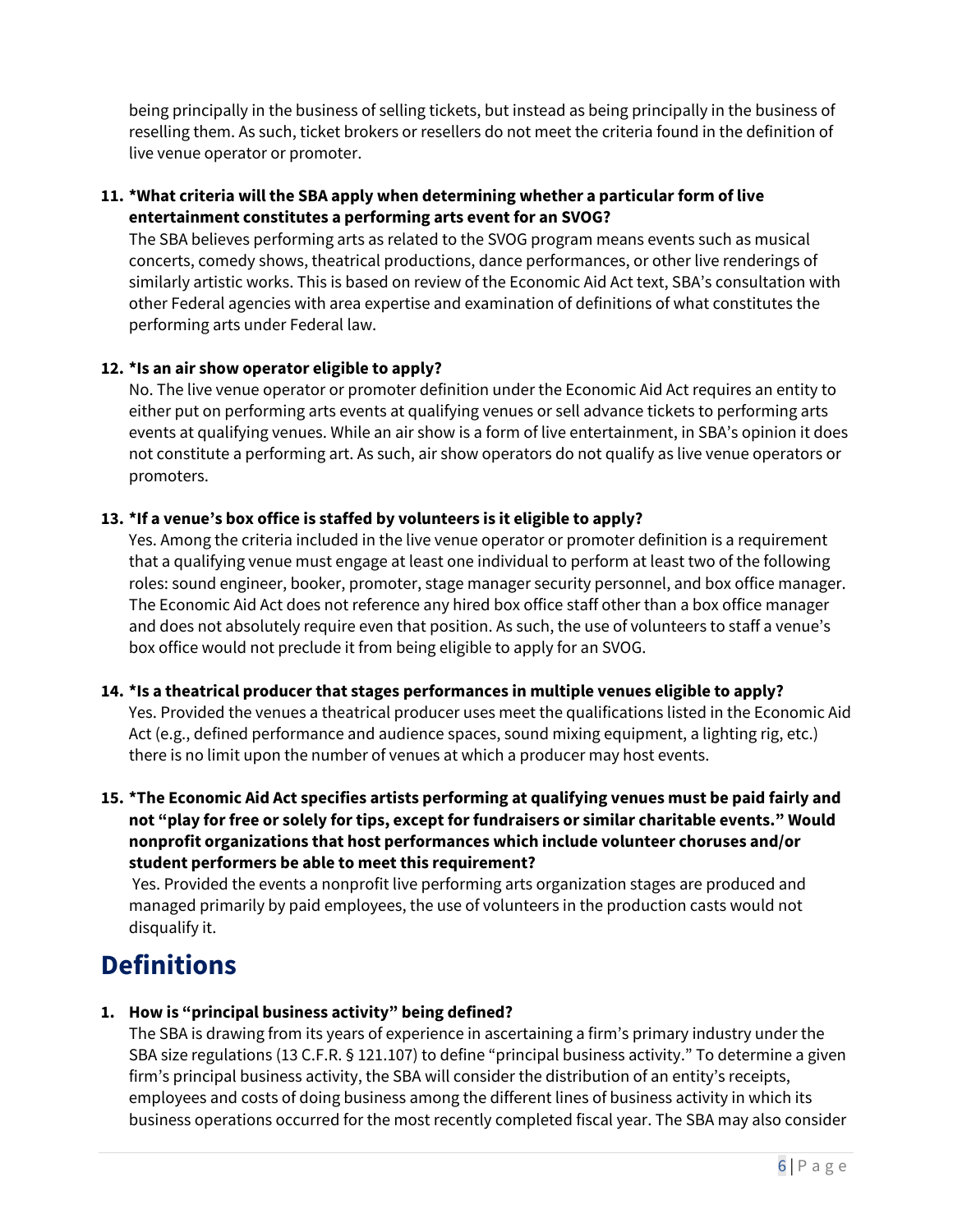being principally in the business of selling tickets, but instead as being principally in the business of reselling them. As such, ticket brokers or resellers do not meet the criteria found in the definition of live venue operator or promoter.

### **11. \*What criteria will the SBA apply when determining whether a particular form of live entertainment constitutes a performing arts event for an SVOG?**

The SBA believes performing arts as related to the SVOG program means events such as musical concerts, comedy shows, theatrical productions, dance performances, or other live renderings of similarly artistic works. This is based on review of the Economic Aid Act text, SBA's consultation with other Federal agencies with area expertise and examination of definitions of what constitutes the performing arts under Federal law.

### **12. \*Is an air show operator eligible to apply?**

No. The live venue operator or promoter definition under the Economic Aid Act requires an entity to either put on performing arts events at qualifying venues or sell advance tickets to performing arts events at qualifying venues. While an air show is a form of live entertainment, in SBA's opinion it does not constitute a performing art. As such, air show operators do not qualify as live venue operators or promoters.

### **13. \*If a venue's box office is staffed by volunteers is it eligible to apply?**

Yes. Among the criteria included in the live venue operator or promoter definition is a requirement that a qualifying venue must engage at least one individual to perform at least two of the following roles: sound engineer, booker, promoter, stage manager security personnel, and box office manager. The Economic Aid Act does not reference any hired box office staff other than a box office manager and does not absolutely require even that position. As such, the use of volunteers to staff a venue's box office would not preclude it from being eligible to apply for an SVOG.

### **14. \*Is a theatrical producer that stages performances in multiple venues eligible to apply?**

Yes. Provided the venues a theatrical producer uses meet the qualifications listed in the Economic Aid Act (e.g., defined performance and audience spaces, sound mixing equipment, a lighting rig, etc.) there is no limit upon the number of venues at which a producer may host events.

### **15. \*The Economic Aid Act specifies artists performing at qualifying venues must be paid fairly and not "play for free or solely for tips, except for fundraisers or similar charitable events." Would nonprofit organizations that host performances which include volunteer choruses and/or student performers be able to meet this requirement?**

Yes. Provided the events a nonprofit live performing arts organization stages are produced and managed primarily by paid employees, the use of volunteers in the production casts would not disqualify it.

## <span id="page-5-0"></span>**Definitions**

### **1. How is "principal business activity" being defined?**

The SBA is drawing from its years of experience in ascertaining a firm's primary industry under the SBA size regulations (13 C.F.R. § 121.107) to define "principal business activity." To determine a given firm's principal business activity, the SBA will consider the distribution of an entity's receipts, employees and costs of doing business among the different lines of business activity in which its business operations occurred for the most recently completed fiscal year. The SBA may also consider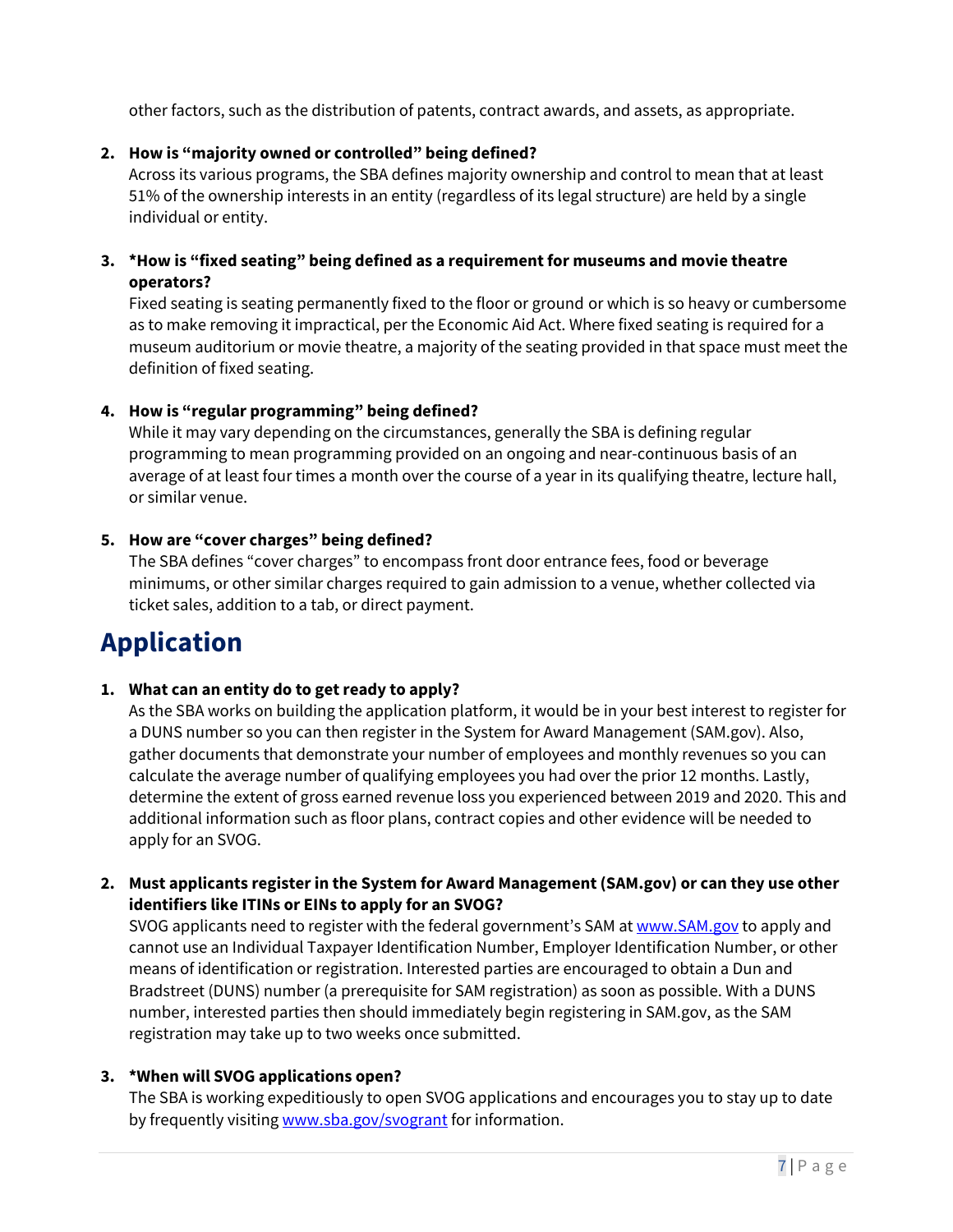other factors, such as the distribution of patents, contract awards, and assets, as appropriate.

### **2. How is "majority owned or controlled" being defined?**

Across its various programs, the SBA defines majority ownership and control to mean that at least 51% of the ownership interests in an entity (regardless of its legal structure) are held by a single individual or entity.

### **3. \*How is "fixed seating" being defined as a requirement for museums and movie theatre operators?**

Fixed seating is seating permanently fixed to the floor or ground or which is so heavy or cumbersome as to make removing it impractical, per the Economic Aid Act. Where fixed seating is required for a museum auditorium or movie theatre, a majority of the seating provided in that space must meet the definition of fixed seating.

### **4. How is "regular programming" being defined?**

While it may vary depending on the circumstances, generally the SBA is defining regular programming to mean programming provided on an ongoing and near-continuous basis of an average of at least four times a month over the course of a year in its qualifying theatre, lecture hall, or similar venue.

### **5. How are "cover charges" being defined?**

The SBA defines "cover charges" to encompass front door entrance fees, food or beverage minimums, or other similar charges required to gain admission to a venue, whether collected via ticket sales, addition to a tab, or direct payment.

# <span id="page-6-0"></span>**Application**

### **1. What can an entity do to get ready to apply?**

As the SBA works on building the application platform, it would be in your best interest to register for a DUNS number so you can then register in the System for Award Management (SAM.gov). Also, gather documents that demonstrate your number of employees and monthly revenues so you can calculate the average number of qualifying employees you had over the prior 12 months. Lastly, determine the extent of gross earned revenue loss you experienced between 2019 and 2020. This and additional information such as floor plans, contract copies and other evidence will be needed to apply for an SVOG.

### **2. Must applicants register in the System for Award Management (SAM.gov) or can they use other identifiers like ITINs or EINs to apply for an SVOG?**

SVOG applicants need to register with the federal government's SAM at www.SAM.gov to apply and cannot use an Individual Taxpayer Identification Number, Employer Identification Number, or other means of identification or registration. Interested parties are encouraged to obtain a Dun and Bradstreet (DUNS) number (a prerequisite for SAM registration) as soon as possible. With a DUNS number, interested parties then should immediately begin registering in SAM.gov, as the SAM registration may take up to two weeks once submitted.

### **3. \*When will SVOG applications open?**

The SBA is working expeditiously to open SVOG applications and encourages you to stay up to date by frequently visiting www.sba.gov/svogrant for information.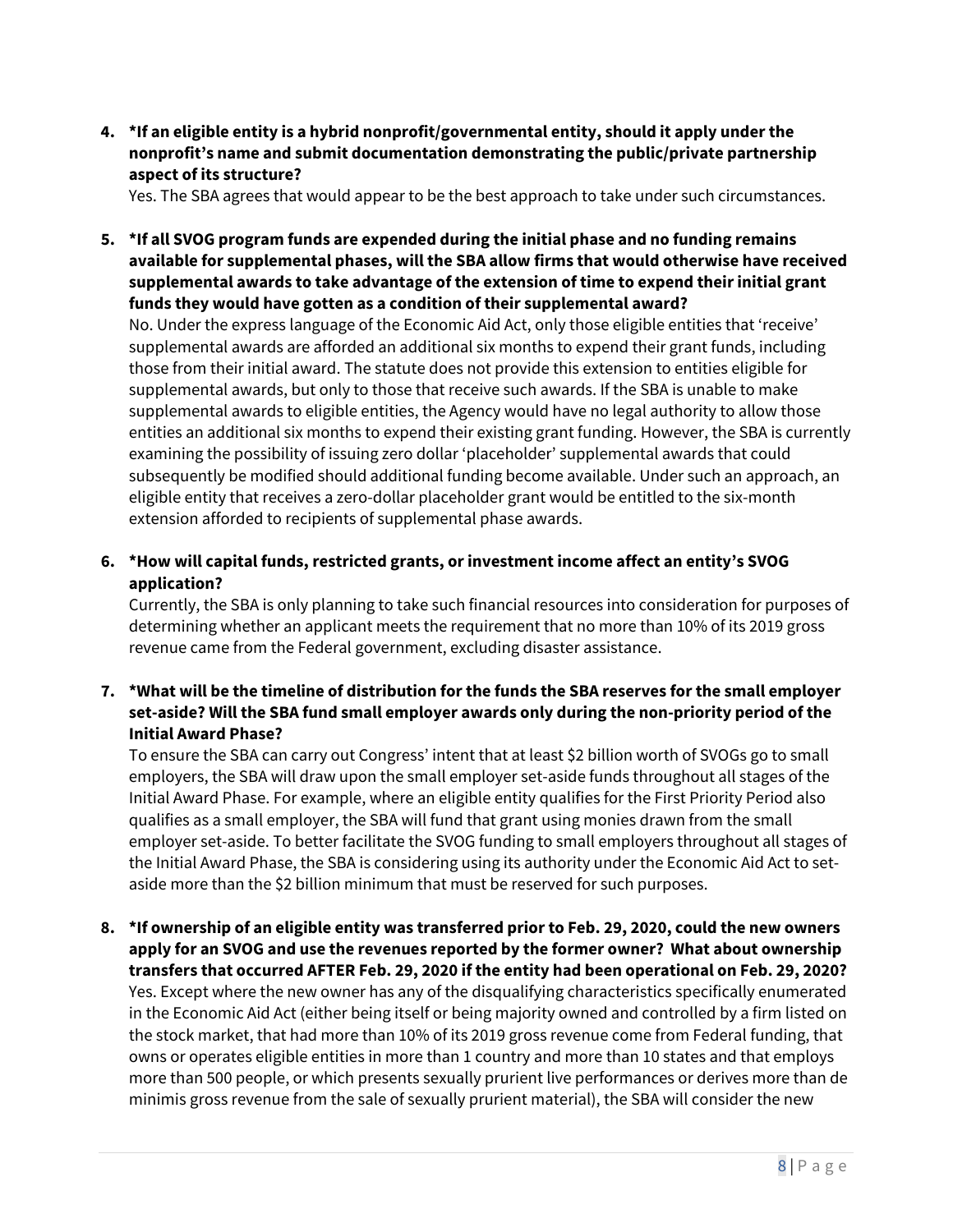**4. \*If an eligible entity is a hybrid nonprofit/governmental entity, should it apply under the nonprofit's name and submit documentation demonstrating the public/private partnership aspect of its structure?**

Yes. The SBA agrees that would appear to be the best approach to take under such circumstances.

**5. \*If all SVOG program funds are expended during the initial phase and no funding remains available for supplemental phases, will the SBA allow firms that would otherwise have received supplemental awards to take advantage of the extension of time to expend their initial grant funds they would have gotten as a condition of their supplemental award?**

No. Under the express language of the Economic Aid Act, only those eligible entities that 'receive' supplemental awards are afforded an additional six months to expend their grant funds, including those from their initial award. The statute does not provide this extension to entities eligible for supplemental awards, but only to those that receive such awards. If the SBA is unable to make supplemental awards to eligible entities, the Agency would have no legal authority to allow those entities an additional six months to expend their existing grant funding. However, the SBA is currently examining the possibility of issuing zero dollar 'placeholder' supplemental awards that could subsequently be modified should additional funding become available. Under such an approach, an eligible entity that receives a zero-dollar placeholder grant would be entitled to the six-month extension afforded to recipients of supplemental phase awards.

**6. \*How will capital funds, restricted grants, or investment income affect an entity's SVOG application?** 

Currently, the SBA is only planning to take such financial resources into consideration for purposes of determining whether an applicant meets the requirement that no more than 10% of its 2019 gross revenue came from the Federal government, excluding disaster assistance.

**7. \*What will be the timeline of distribution for the funds the SBA reserves for the small employer set-aside? Will the SBA fund small employer awards only during the non-priority period of the Initial Award Phase?**

To ensure the SBA can carry out Congress' intent that at least \$2 billion worth of SVOGs go to small employers, the SBA will draw upon the small employer set-aside funds throughout all stages of the Initial Award Phase. For example, where an eligible entity qualifies for the First Priority Period also qualifies as a small employer, the SBA will fund that grant using monies drawn from the small employer set-aside. To better facilitate the SVOG funding to small employers throughout all stages of the Initial Award Phase, the SBA is considering using its authority under the Economic Aid Act to setaside more than the \$2 billion minimum that must be reserved for such purposes.

**8. \*If ownership of an eligible entity was transferred prior to Feb. 29, 2020, could the new owners apply for an SVOG and use the revenues reported by the former owner? What about ownership transfers that occurred AFTER Feb. 29, 2020 if the entity had been operational on Feb. 29, 2020?**  Yes. Except where the new owner has any of the disqualifying characteristics specifically enumerated in the Economic Aid Act (either being itself or being majority owned and controlled by a firm listed on the stock market, that had more than 10% of its 2019 gross revenue come from Federal funding, that owns or operates eligible entities in more than 1 country and more than 10 states and that employs more than 500 people, or which presents sexually prurient live performances or derives more than de minimis gross revenue from the sale of sexually prurient material), the SBA will consider the new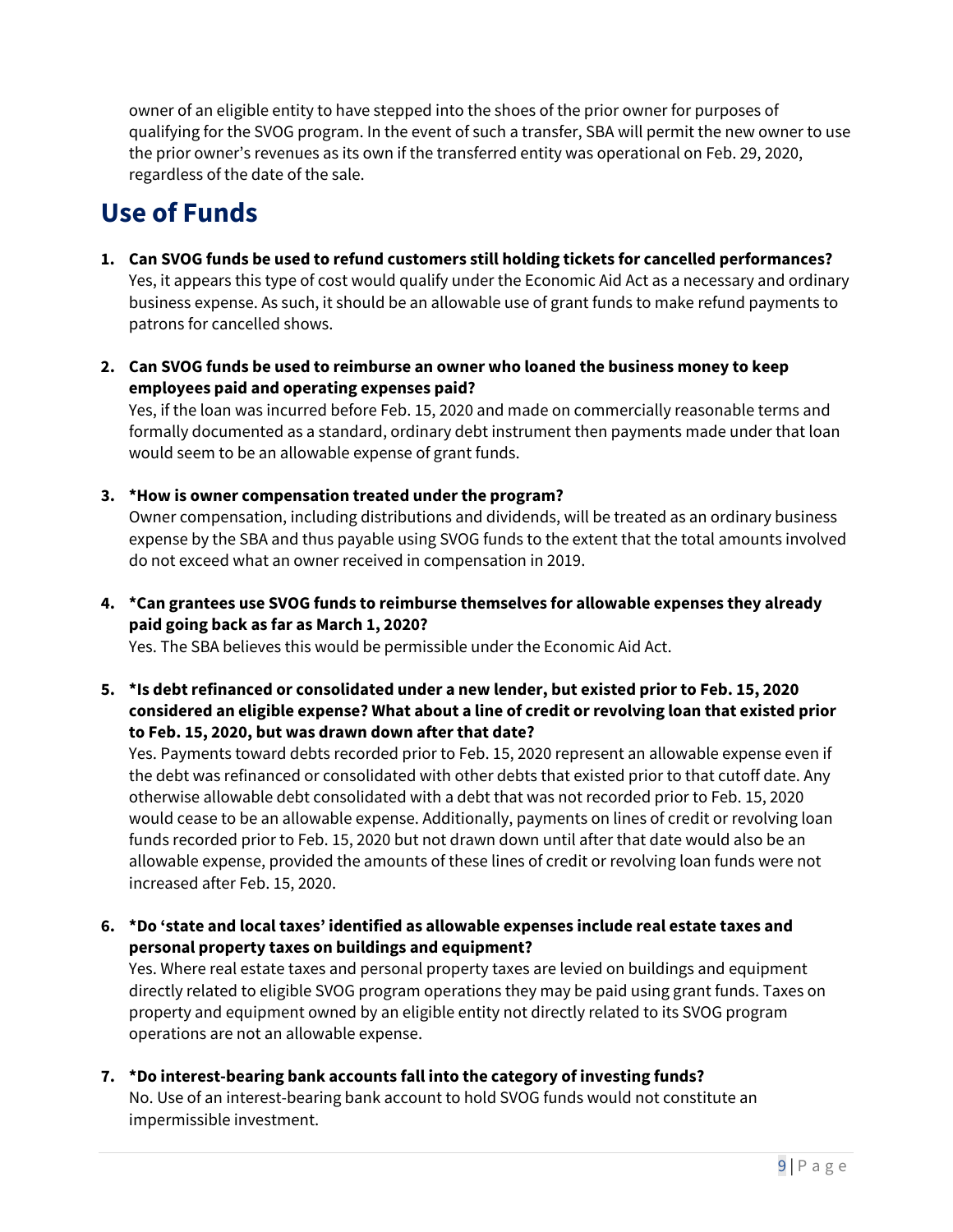owner of an eligible entity to have stepped into the shoes of the prior owner for purposes of qualifying for the SVOG program. In the event of such a transfer, SBA will permit the new owner to use the prior owner's revenues as its own if the transferred entity was operational on Feb. 29, 2020, regardless of the date of the sale.

# <span id="page-8-0"></span>**Use of Funds**

- **1. Can SVOG funds be used to refund customers still holding tickets for cancelled performances?**  Yes, it appears this type of cost would qualify under the Economic Aid Act as a necessary and ordinary business expense. As such, it should be an allowable use of grant funds to make refund payments to patrons for cancelled shows.
- **2. Can SVOG funds be used to reimburse an owner who loaned the business money to keep employees paid and operating expenses paid?**

Yes, if the loan was incurred before Feb. 15, 2020 and made on commercially reasonable terms and formally documented as a standard, ordinary debt instrument then payments made under that loan would seem to be an allowable expense of grant funds.

**3. \*How is owner compensation treated under the program?** 

Owner compensation, including distributions and dividends, will be treated as an ordinary business expense by the SBA and thus payable using SVOG funds to the extent that the total amounts involved do not exceed what an owner received in compensation in 2019.

**4. \*Can grantees use SVOG funds to reimburse themselves for allowable expenses they already paid going back as far as March 1, 2020?** 

Yes. The SBA believes this would be permissible under the Economic Aid Act.

**5. \*Is debt refinanced or consolidated under a new lender, but existed prior to Feb. 15, 2020 considered an eligible expense? What about a line of credit or revolving loan that existed prior to Feb. 15, 2020, but was drawn down after that date?** 

Yes. Payments toward debts recorded prior to Feb. 15, 2020 represent an allowable expense even if the debt was refinanced or consolidated with other debts that existed prior to that cutoff date. Any otherwise allowable debt consolidated with a debt that was not recorded prior to Feb. 15, 2020 would cease to be an allowable expense. Additionally, payments on lines of credit or revolving loan funds recorded prior to Feb. 15, 2020 but not drawn down until after that date would also be an allowable expense, provided the amounts of these lines of credit or revolving loan funds were not increased after Feb. 15, 2020.

**6. \*Do 'state and local taxes' identified as allowable expenses include real estate taxes and personal property taxes on buildings and equipment?** 

Yes. Where real estate taxes and personal property taxes are levied on buildings and equipment directly related to eligible SVOG program operations they may be paid using grant funds. Taxes on property and equipment owned by an eligible entity not directly related to its SVOG program operations are not an allowable expense.

**7. \*Do interest-bearing bank accounts fall into the category of investing funds?**  No. Use of an interest-bearing bank account to hold SVOG funds would not constitute an impermissible investment.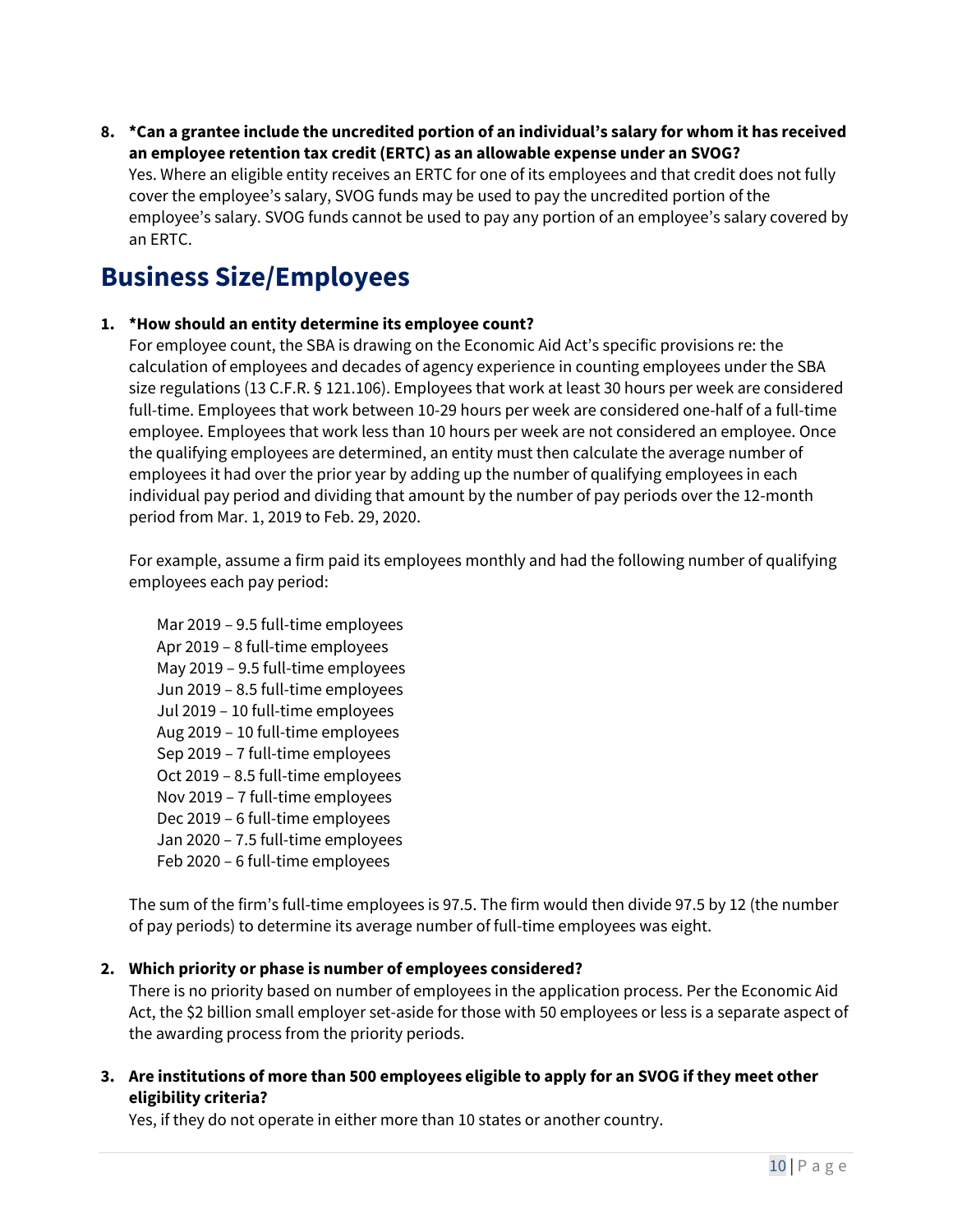**8. \*Can a grantee include the uncredited portion of an individual's salary for whom it has received an employee retention tax credit (ERTC) as an allowable expense under an SVOG?** 

Yes. Where an eligible entity receives an ERTC for one of its employees and that credit does not fully cover the employee's salary, SVOG funds may be used to pay the uncredited portion of the employee's salary. SVOG funds cannot be used to pay any portion of an employee's salary covered by an ERTC.

## <span id="page-9-0"></span>**Business Size/Employees**

### **1. \*How should an entity determine its employee count?**

For employee count, the SBA is drawing on the Economic Aid Act's specific provisions re: the calculation of employees and decades of agency experience in counting employees under the SBA size regulations (13 C.F.R. § 121.106). Employees that work at least 30 hours per week are considered full-time. Employees that work between 10-29 hours per week are considered one-half of a full-time employee. Employees that work less than 10 hours per week are not considered an employee. Once the qualifying employees are determined, an entity must then calculate the average number of employees it had over the prior year by adding up the number of qualifying employees in each individual pay period and dividing that amount by the number of pay periods over the 12-month period from Mar. 1, 2019 to Feb. 29, 2020.

For example, assume a firm paid its employees monthly and had the following number of qualifying employees each pay period:

Mar 2019 – 9.5 full-time employees Apr 2019 – 8 full-time employees May 2019 – 9.5 full-time employees Jun 2019 – 8.5 full-time employees Jul 2019 – 10 full-time employees Aug 2019 – 10 full-time employees Sep 2019 – 7 full-time employees Oct 2019 – 8.5 full-time employees Nov 2019 – 7 full-time employees Dec 2019 – 6 full-time employees Jan 2020 – 7.5 full-time employees Feb 2020 – 6 full-time employees

The sum of the firm's full-time employees is 97.5. The firm would then divide 97.5 by 12 (the number of pay periods) to determine its average number of full-time employees was eight.

### **2. Which priority or phase is number of employees considered?**

There is no priority based on number of employees in the application process. Per the Economic Aid Act, the \$2 billion small employer set-aside for those with 50 employees or less is a separate aspect of the awarding process from the priority periods.

**3. Are institutions of more than 500 employees eligible to apply for an SVOG if they meet other eligibility criteria?**

Yes, if they do not operate in either more than 10 states or another country.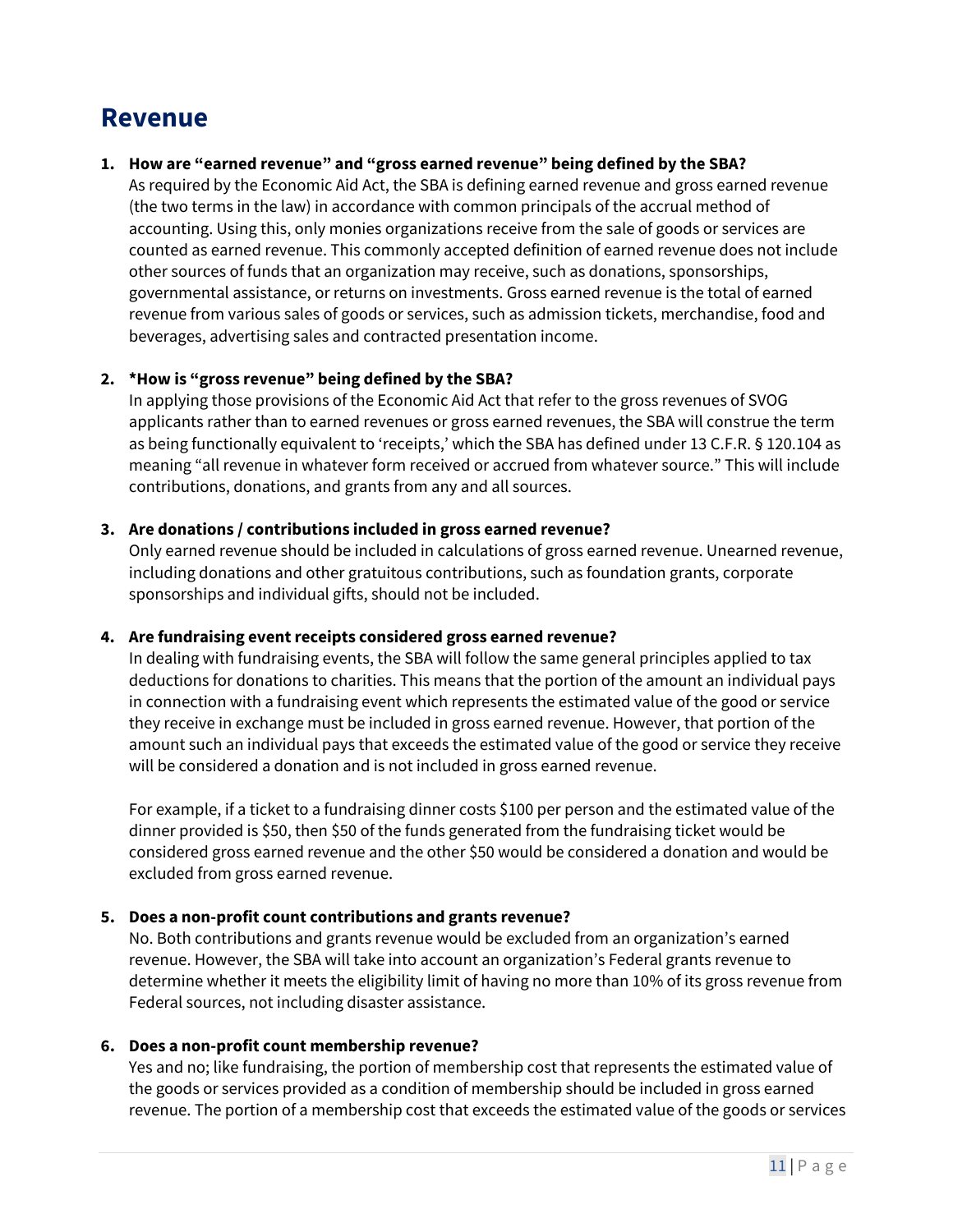### <span id="page-10-0"></span>**Revenue**

### **1. How are "earned revenue" and "gross earned revenue" being defined by the SBA?**

As required by the Economic Aid Act, the SBA is defining earned revenue and gross earned revenue (the two terms in the law) in accordance with common principals of the accrual method of accounting. Using this, only monies organizations receive from the sale of goods or services are counted as earned revenue. This commonly accepted definition of earned revenue does not include other sources of funds that an organization may receive, such as donations, sponsorships, governmental assistance, or returns on investments. Gross earned revenue is the total of earned revenue from various sales of goods or services, such as admission tickets, merchandise, food and beverages, advertising sales and contracted presentation income.

### **2. \*How is "gross revenue" being defined by the SBA?**

In applying those provisions of the Economic Aid Act that refer to the gross revenues of SVOG applicants rather than to earned revenues or gross earned revenues, the SBA will construe the term as being functionally equivalent to 'receipts,' which the SBA has defined under 13 C.F.R. § 120.104 as meaning "all revenue in whatever form received or accrued from whatever source." This will include contributions, donations, and grants from any and all sources.

### **3. Are donations / contributions included in gross earned revenue?**

Only earned revenue should be included in calculations of gross earned revenue. Unearned revenue, including donations and other gratuitous contributions, such as foundation grants, corporate sponsorships and individual gifts, should not be included.

### **4. Are fundraising event receipts considered gross earned revenue?**

In dealing with fundraising events, the SBA will follow the same general principles applied to tax deductions for donations to charities. This means that the portion of the amount an individual pays in connection with a fundraising event which represents the estimated value of the good or service they receive in exchange must be included in gross earned revenue. However, that portion of the amount such an individual pays that exceeds the estimated value of the good or service they receive will be considered a donation and is not included in gross earned revenue.

For example, if a ticket to a fundraising dinner costs \$100 per person and the estimated value of the dinner provided is \$50, then \$50 of the funds generated from the fundraising ticket would be considered gross earned revenue and the other \$50 would be considered a donation and would be excluded from gross earned revenue.

### **5. Does a non-profit count contributions and grants revenue?**

No. Both contributions and grants revenue would be excluded from an organization's earned revenue. However, the SBA will take into account an organization's Federal grants revenue to determine whether it meets the eligibility limit of having no more than 10% of its gross revenue from Federal sources, not including disaster assistance.

### **6. Does a non-profit count membership revenue?**

Yes and no; like fundraising, the portion of membership cost that represents the estimated value of the goods or services provided as a condition of membership should be included in gross earned revenue. The portion of a membership cost that exceeds the estimated value of the goods or services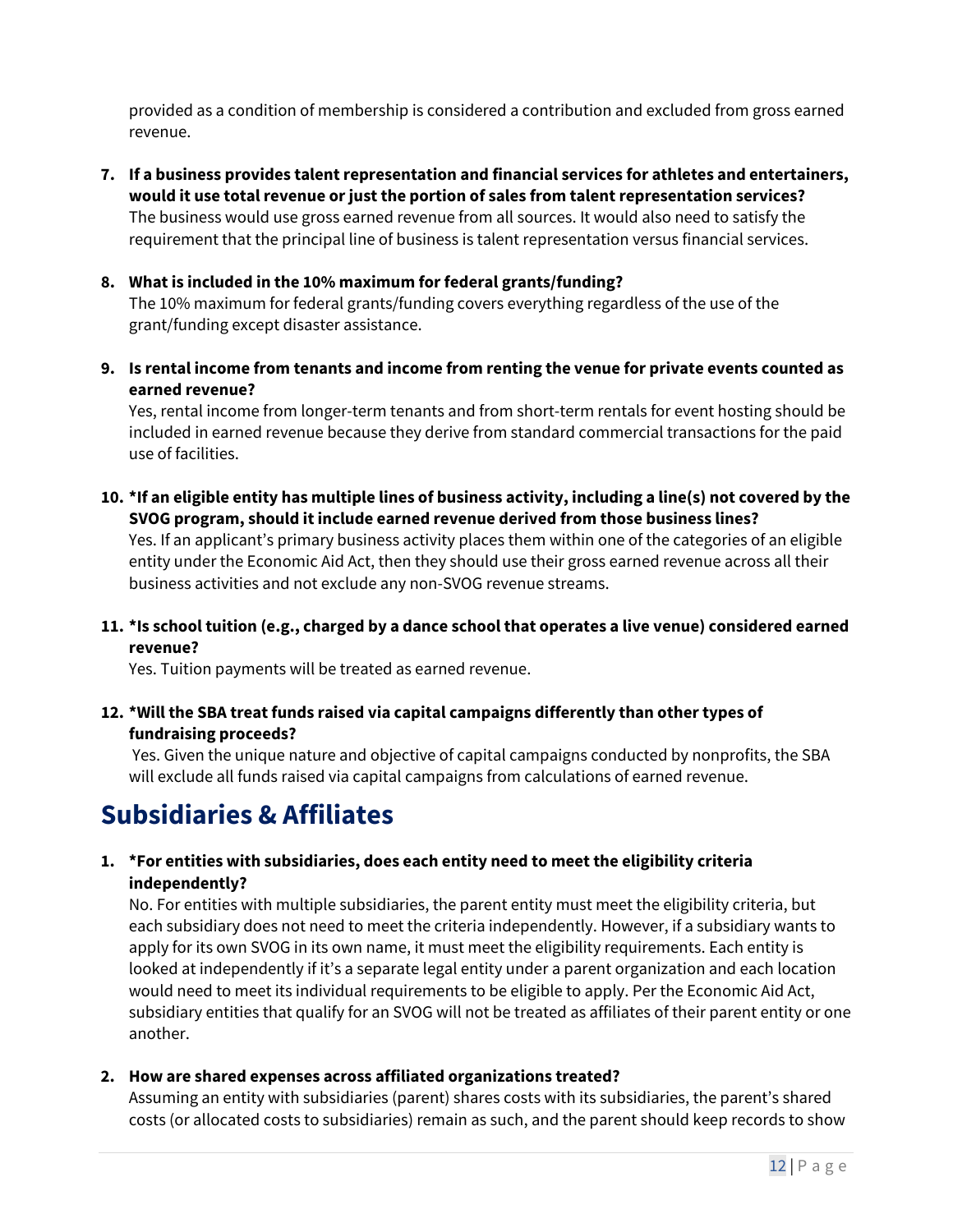provided as a condition of membership is considered a contribution and excluded from gross earned revenue.

- **7. If a business provides talent representation and financial services for athletes and entertainers, would it use total revenue or just the portion of sales from talent representation services?** The business would use gross earned revenue from all sources. It would also need to satisfy the requirement that the principal line of business is talent representation versus financial services.
- **8. What is included in the 10% maximum for federal grants/funding?**

The 10% maximum for federal grants/funding covers everything regardless of the use of the grant/funding except disaster assistance.

**9. Is rental income from tenants and income from renting the venue for private events counted as earned revenue?**

Yes, rental income from longer-term tenants and from short-term rentals for event hosting should be included in earned revenue because they derive from standard commercial transactions for the paid use of facilities.

**10. \*If an eligible entity has multiple lines of business activity, including a line(s) not covered by the SVOG program, should it include earned revenue derived from those business lines?** 

Yes. If an applicant's primary business activity places them within one of the categories of an eligible entity under the Economic Aid Act, then they should use their gross earned revenue across all their business activities and not exclude any non-SVOG revenue streams.

**11. \*Is school tuition (e.g., charged by a dance school that operates a live venue) considered earned revenue?** 

Yes. Tuition payments will be treated as earned revenue.

**12. \*Will the SBA treat funds raised via capital campaigns differently than other types of fundraising proceeds?**

Yes. Given the unique nature and objective of capital campaigns conducted by nonprofits, the SBA will exclude all funds raised via capital campaigns from calculations of earned revenue.

## <span id="page-11-0"></span>**Subsidiaries & Affiliates**

### **1. \*For entities with subsidiaries, does each entity need to meet the eligibility criteria independently?**

No. For entities with multiple subsidiaries, the parent entity must meet the eligibility criteria, but each subsidiary does not need to meet the criteria independently. However, if a subsidiary wants to apply for its own SVOG in its own name, it must meet the eligibility requirements. Each entity is looked at independently if it's a separate legal entity under a parent organization and each location would need to meet its individual requirements to be eligible to apply. Per the Economic Aid Act, subsidiary entities that qualify for an SVOG will not be treated as affiliates of their parent entity or one another.

**2. How are shared expenses across affiliated organizations treated?** 

Assuming an entity with subsidiaries (parent) shares costs with its subsidiaries, the parent's shared costs (or allocated costs to subsidiaries) remain as such, and the parent should keep records to show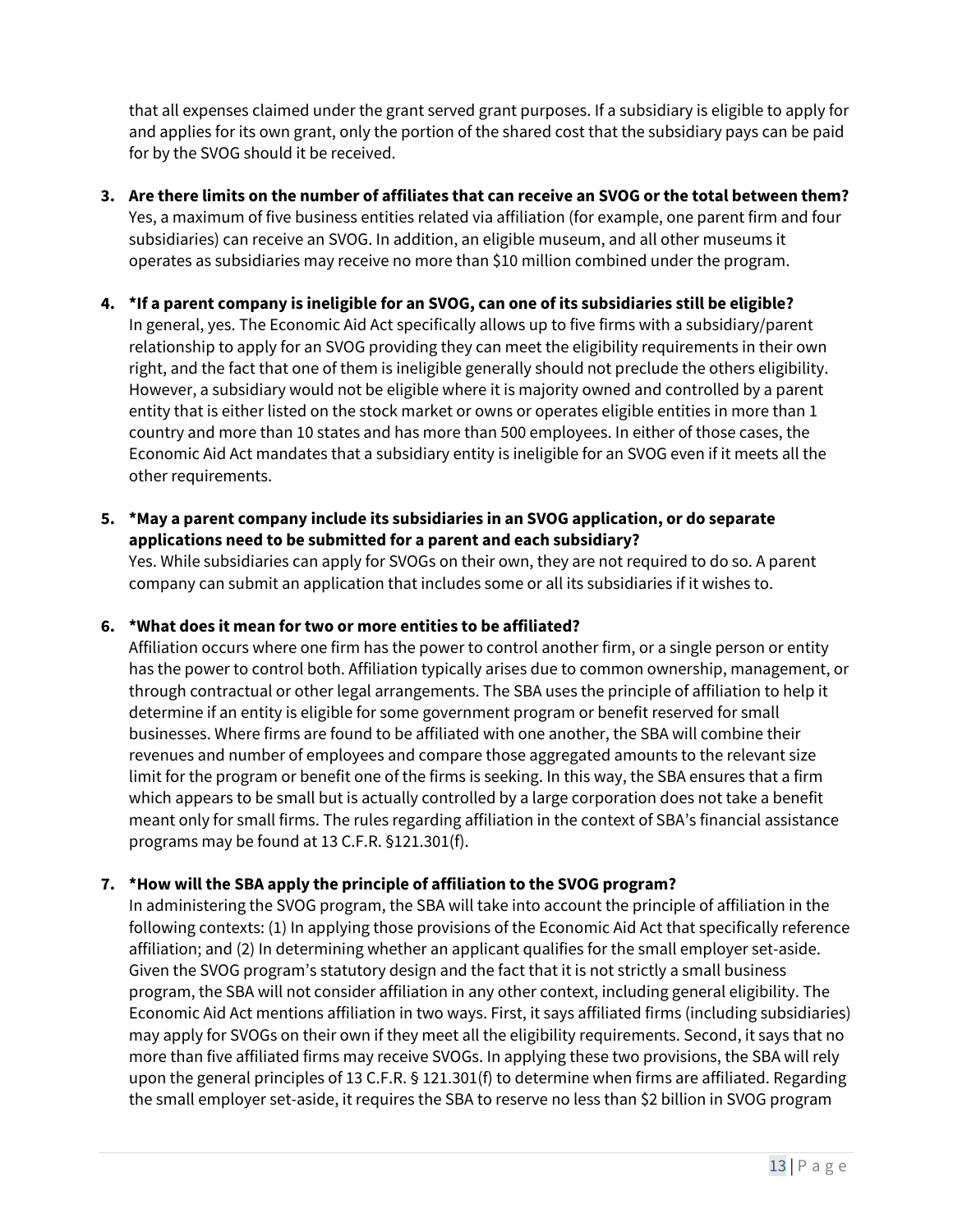that all expenses claimed under the grant served grant purposes. If a subsidiary is eligible to apply for and applies for its own grant, only the portion of the shared cost that the subsidiary pays can be paid for by the SVOG should it be received.

**3. Are there limits on the number of affiliates that can receive an SVOG or the total between them?** Yes, a maximum of five business entities related via affiliation (for example, one parent firm and four subsidiaries) can receive an SVOG. In addition, an eligible museum, and all other museums it operates as subsidiaries may receive no more than \$10 million combined under the program.

### **4. \*If a parent company is ineligible for an SVOG, can one of its subsidiaries still be eligible?**

In general, yes. The Economic Aid Act specifically allows up to five firms with a subsidiary/parent relationship to apply for an SVOG providing they can meet the eligibility requirements in their own right, and the fact that one of them is ineligible generally should not preclude the others eligibility. However, a subsidiary would not be eligible where it is majority owned and controlled by a parent entity that is either listed on the stock market or owns or operates eligible entities in more than 1 country and more than 10 states and has more than 500 employees. In either of those cases, the Economic Aid Act mandates that a subsidiary entity is ineligible for an SVOG even if it meets all the other requirements.

### **5. \*May a parent company include its subsidiaries in an SVOG application, or do separate applications need to be submitted for a parent and each subsidiary?**

Yes. While subsidiaries can apply for SVOGs on their own, they are not required to do so. A parent company can submit an application that includes some or all its subsidiaries if it wishes to.

### **6. \*What does it mean for two or more entities to be affiliated?**

Affiliation occurs where one firm has the power to control another firm, or a single person or entity has the power to control both. Affiliation typically arises due to common ownership, management, or through contractual or other legal arrangements. The SBA uses the principle of affiliation to help it determine if an entity is eligible for some government program or benefit reserved for small businesses. Where firms are found to be affiliated with one another, the SBA will combine their revenues and number of employees and compare those aggregated amounts to the relevant size limit for the program or benefit one of the firms is seeking. In this way, the SBA ensures that a firm which appears to be small but is actually controlled by a large corporation does not take a benefit meant only for small firms. The rules regarding affiliation in the context of SBA's financial assistance programs may be found at 13 C.F.R. §121.301(f).

### **7. \*How will the SBA apply the principle of affiliation to the SVOG program?**

In administering the SVOG program, the SBA will take into account the principle of affiliation in the following contexts: (1) In applying those provisions of the Economic Aid Act that specifically reference affiliation; and (2) In determining whether an applicant qualifies for the small employer set-aside. Given the SVOG program's statutory design and the fact that it is not strictly a small business program, the SBA will not consider affiliation in any other context, including general eligibility. The Economic Aid Act mentions affiliation in two ways. First, it says affiliated firms (including subsidiaries) may apply for SVOGs on their own if they meet all the eligibility requirements. Second, it says that no more than five affiliated firms may receive SVOGs. In applying these two provisions, the SBA will rely upon the general principles of 13 C.F.R. § 121.301(f) to determine when firms are affiliated. Regarding the small employer set-aside, it requires the SBA to reserve no less than \$2 billion in SVOG program